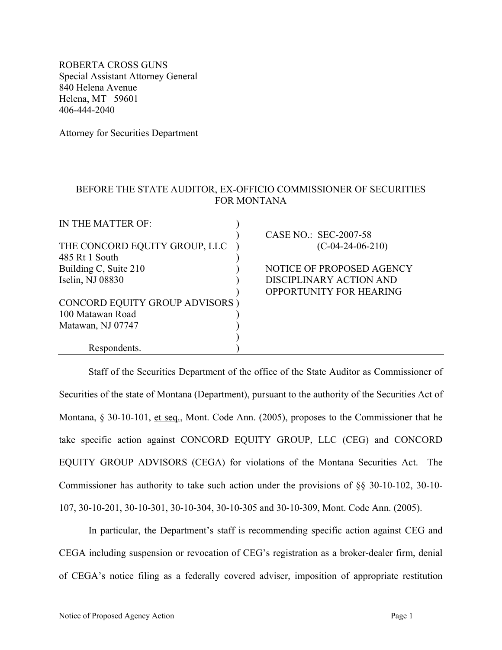ROBERTA CROSS GUNS Special Assistant Attorney General 840 Helena Avenue Helena, MT 59601 406-444-2040

Attorney for Securities Department

## BEFORE THE STATE AUDITOR, EX-OFFICIO COMMISSIONER OF SECURITIES FOR MONTANA

| IN THE MATTER OF:                      |                                |
|----------------------------------------|--------------------------------|
|                                        | CASE NO.: SEC-2007-58          |
| THE CONCORD EQUITY GROUP, LLC          | $(C-04-24-06-210)$             |
| 485 Rt 1 South                         |                                |
| Building C, Suite 210                  | NOTICE OF PROPOSED AGENCY      |
| Iselin, NJ 08830                       | DISCIPLINARY ACTION AND        |
|                                        | <b>OPPORTUNITY FOR HEARING</b> |
| <b>CONCORD EQUITY GROUP ADVISORS</b> ) |                                |
| 100 Matawan Road                       |                                |
| Matawan, NJ 07747                      |                                |
|                                        |                                |
| Respondents.                           |                                |

Staff of the Securities Department of the office of the State Auditor as Commissioner of Securities of the state of Montana (Department), pursuant to the authority of the Securities Act of Montana, § 30-10-101, et seq., Mont. Code Ann. (2005), proposes to the Commissioner that he take specific action against CONCORD EQUITY GROUP, LLC (CEG) and CONCORD EQUITY GROUP ADVISORS (CEGA) for violations of the Montana Securities Act. The Commissioner has authority to take such action under the provisions of §§ 30-10-102, 30-10- 107, 30-10-201, 30-10-301, 30-10-304, 30-10-305 and 30-10-309, Mont. Code Ann. (2005).

In particular, the Department's staff is recommending specific action against CEG and CEGA including suspension or revocation of CEG's registration as a broker-dealer firm, denial of CEGA's notice filing as a federally covered adviser, imposition of appropriate restitution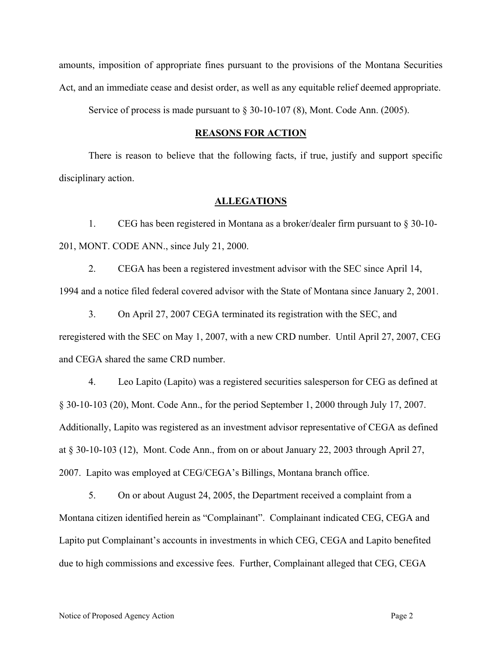amounts, imposition of appropriate fines pursuant to the provisions of the Montana Securities Act, and an immediate cease and desist order, as well as any equitable relief deemed appropriate.

Service of process is made pursuant to § 30-10-107 (8), Mont. Code Ann. (2005).

### **REASONS FOR ACTION**

 There is reason to believe that the following facts, if true, justify and support specific disciplinary action.

#### **ALLEGATIONS**

1. CEG has been registered in Montana as a broker/dealer firm pursuant to § 30-10- 201, MONT. CODE ANN., since July 21, 2000.

2. CEGA has been a registered investment advisor with the SEC since April 14, 1994 and a notice filed federal covered advisor with the State of Montana since January 2, 2001.

3. On April 27, 2007 CEGA terminated its registration with the SEC, and reregistered with the SEC on May 1, 2007, with a new CRD number. Until April 27, 2007, CEG and CEGA shared the same CRD number.

 4. Leo Lapito (Lapito) was a registered securities salesperson for CEG as defined at § 30-10-103 (20), Mont. Code Ann., for the period September 1, 2000 through July 17, 2007. Additionally, Lapito was registered as an investment advisor representative of CEGA as defined at § 30-10-103 (12), Mont. Code Ann., from on or about January 22, 2003 through April 27, 2007. Lapito was employed at CEG/CEGA's Billings, Montana branch office.

 5. On or about August 24, 2005, the Department received a complaint from a Montana citizen identified herein as "Complainant". Complainant indicated CEG, CEGA and Lapito put Complainant's accounts in investments in which CEG, CEGA and Lapito benefited due to high commissions and excessive fees. Further, Complainant alleged that CEG, CEGA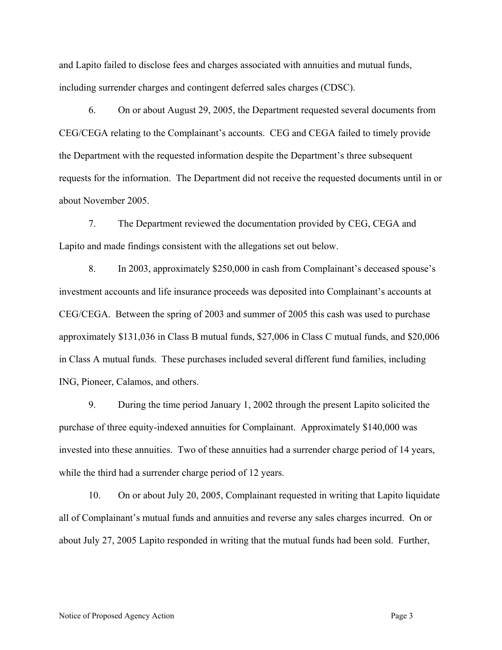and Lapito failed to disclose fees and charges associated with annuities and mutual funds, including surrender charges and contingent deferred sales charges (CDSC).

 6. On or about August 29, 2005, the Department requested several documents from CEG/CEGA relating to the Complainant's accounts. CEG and CEGA failed to timely provide the Department with the requested information despite the Department's three subsequent requests for the information. The Department did not receive the requested documents until in or about November 2005.

 7. The Department reviewed the documentation provided by CEG, CEGA and Lapito and made findings consistent with the allegations set out below.

8. In 2003, approximately \$250,000 in cash from Complainant's deceased spouse's investment accounts and life insurance proceeds was deposited into Complainant's accounts at CEG/CEGA. Between the spring of 2003 and summer of 2005 this cash was used to purchase approximately \$131,036 in Class B mutual funds, \$27,006 in Class C mutual funds, and \$20,006 in Class A mutual funds. These purchases included several different fund families, including ING, Pioneer, Calamos, and others.

9. During the time period January 1, 2002 through the present Lapito solicited the purchase of three equity-indexed annuities for Complainant. Approximately \$140,000 was invested into these annuities. Two of these annuities had a surrender charge period of 14 years, while the third had a surrender charge period of 12 years.

 10. On or about July 20, 2005, Complainant requested in writing that Lapito liquidate all of Complainant's mutual funds and annuities and reverse any sales charges incurred. On or about July 27, 2005 Lapito responded in writing that the mutual funds had been sold. Further,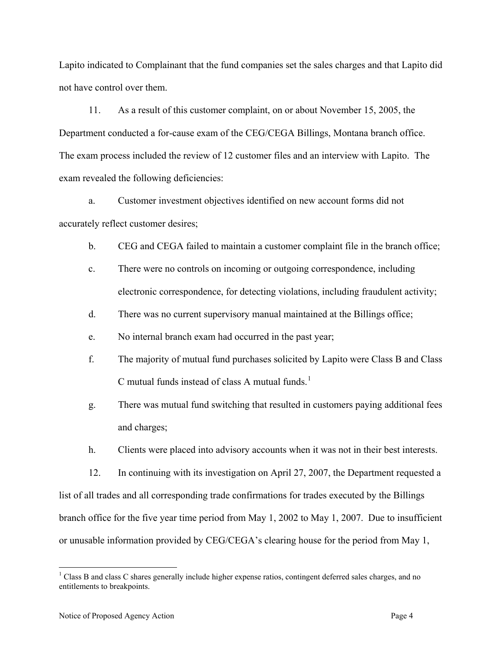Lapito indicated to Complainant that the fund companies set the sales charges and that Lapito did not have control over them.

 11. As a result of this customer complaint, on or about November 15, 2005, the Department conducted a for-cause exam of the CEG/CEGA Billings, Montana branch office. The exam process included the review of 12 customer files and an interview with Lapito. The exam revealed the following deficiencies:

 a. Customer investment objectives identified on new account forms did not accurately reflect customer desires;

- b. CEG and CEGA failed to maintain a customer complaint file in the branch office;
- c. There were no controls on incoming or outgoing correspondence, including electronic correspondence, for detecting violations, including fraudulent activity;
- d. There was no current supervisory manual maintained at the Billings office;
- e. No internal branch exam had occurred in the past year;
- f. The majority of mutual fund purchases solicited by Lapito were Class B and Class C mutual funds instead of class A mutual funds. $<sup>1</sup>$  $<sup>1</sup>$  $<sup>1</sup>$ </sup>
- g. There was mutual fund switching that resulted in customers paying additional fees and charges;
- h. Clients were placed into advisory accounts when it was not in their best interests.

12. In continuing with its investigation on April 27, 2007, the Department requested a list of all trades and all corresponding trade confirmations for trades executed by the Billings branch office for the five year time period from May 1, 2002 to May 1, 2007. Due to insufficient or unusable information provided by CEG/CEGA's clearing house for the period from May 1,

<span id="page-3-0"></span><sup>&</sup>lt;sup>1</sup> Class B and class C shares generally include higher expense ratios, contingent deferred sales charges, and no entitlements to breakpoints.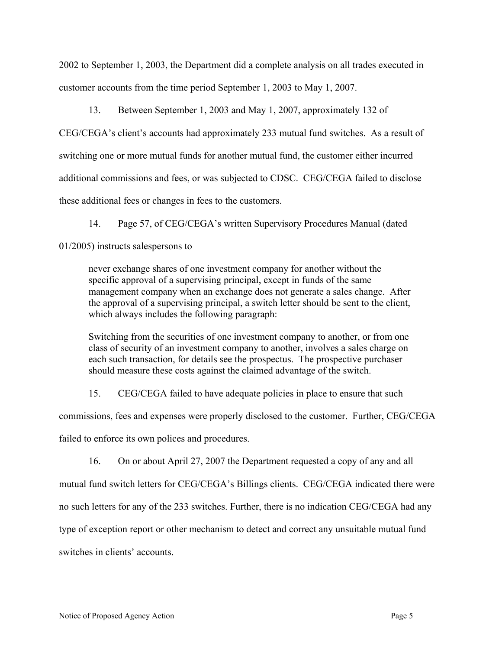2002 to September 1, 2003, the Department did a complete analysis on all trades executed in customer accounts from the time period September 1, 2003 to May 1, 2007.

13. Between September 1, 2003 and May 1, 2007, approximately 132 of

CEG/CEGA's client's accounts had approximately 233 mutual fund switches. As a result of switching one or more mutual funds for another mutual fund, the customer either incurred additional commissions and fees, or was subjected to CDSC. CEG/CEGA failed to disclose these additional fees or changes in fees to the customers.

14. Page 57, of CEG/CEGA's written Supervisory Procedures Manual (dated

### 01/2005) instructs salespersons to

never exchange shares of one investment company for another without the specific approval of a supervising principal, except in funds of the same management company when an exchange does not generate a sales change. After the approval of a supervising principal, a switch letter should be sent to the client, which always includes the following paragraph:

Switching from the securities of one investment company to another, or from one class of security of an investment company to another, involves a sales charge on each such transaction, for details see the prospectus. The prospective purchaser should measure these costs against the claimed advantage of the switch.

15. CEG/CEGA failed to have adequate policies in place to ensure that such

commissions, fees and expenses were properly disclosed to the customer. Further, CEG/CEGA

failed to enforce its own polices and procedures.

16. On or about April 27, 2007 the Department requested a copy of any and all mutual fund switch letters for CEG/CEGA's Billings clients. CEG/CEGA indicated there were no such letters for any of the 233 switches. Further, there is no indication CEG/CEGA had any type of exception report or other mechanism to detect and correct any unsuitable mutual fund switches in clients' accounts.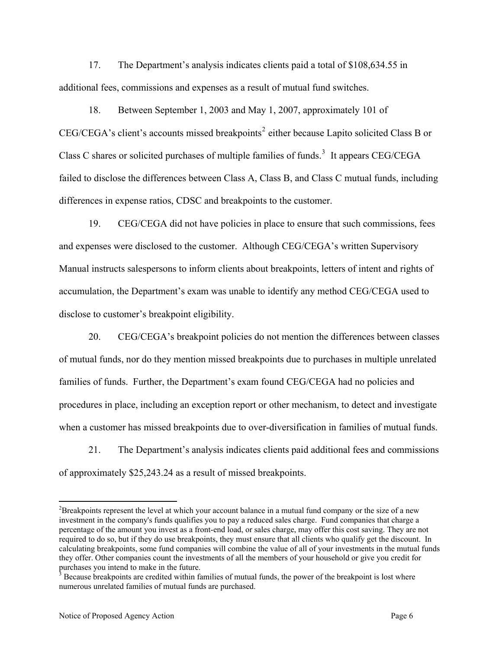17. The Department's analysis indicates clients paid a total of \$108,634.55 in additional fees, commissions and expenses as a result of mutual fund switches.

18. Between September 1, 2003 and May 1, 2007, approximately 101 of  $CEG/CEGA$ 's client's accounts missed breakpoints<sup>[2](#page-5-0)</sup> either because Lapito solicited Class B or Class C shares or solicited purchases of multiple families of funds.<sup>[3](#page-5-1)</sup> It appears CEG/CEGA failed to disclose the differences between Class A, Class B, and Class C mutual funds, including differences in expense ratios, CDSC and breakpoints to the customer.

19. CEG/CEGA did not have policies in place to ensure that such commissions, fees and expenses were disclosed to the customer. Although CEG/CEGA's written Supervisory Manual instructs salespersons to inform clients about breakpoints, letters of intent and rights of accumulation, the Department's exam was unable to identify any method CEG/CEGA used to disclose to customer's breakpoint eligibility.

20. CEG/CEGA's breakpoint policies do not mention the differences between classes of mutual funds, nor do they mention missed breakpoints due to purchases in multiple unrelated families of funds. Further, the Department's exam found CEG/CEGA had no policies and procedures in place, including an exception report or other mechanism, to detect and investigate when a customer has missed breakpoints due to over-diversification in families of mutual funds.

21. The Department's analysis indicates clients paid additional fees and commissions of approximately \$25,243.24 as a result of missed breakpoints.

<span id="page-5-0"></span><sup>&</sup>lt;sup>2</sup>Breakpoints represent the level at which your account balance in a mutual fund company or the size of a new investment in the company's funds qualifies you to pay a reduced sales charge. Fund companies that charge a percentage of the amount you invest as a front-end load, or sales charge, may offer this cost saving. They are not required to do so, but if they do use breakpoints, they must ensure that all clients who qualify get the discount. In calculating breakpoints, some fund companies will combine the value of all of your investments in the mutual funds they offer. Other companies count the investments of all the members of your household or give you credit for purchases you intend to make in the future. 3 Because breakpoints are credited within families of mutual funds, the power of the breakpoint is lost where

<span id="page-5-1"></span>numerous unrelated families of mutual funds are purchased.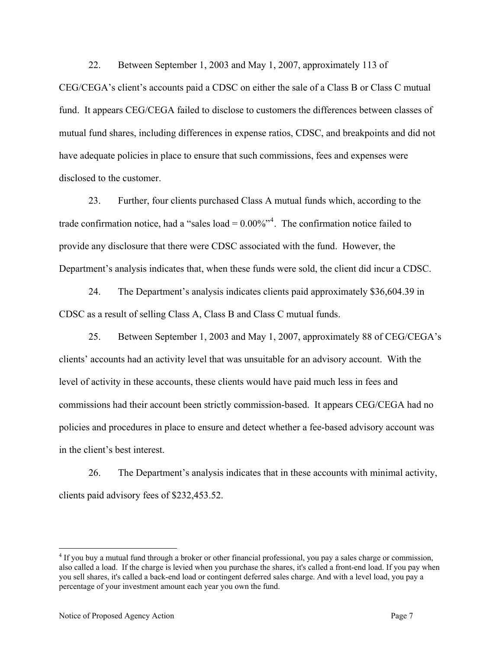22. Between September 1, 2003 and May 1, 2007, approximately 113 of CEG/CEGA's client's accounts paid a CDSC on either the sale of a Class B or Class C mutual fund. It appears CEG/CEGA failed to disclose to customers the differences between classes of mutual fund shares, including differences in expense ratios, CDSC, and breakpoints and did not have adequate policies in place to ensure that such commissions, fees and expenses were disclosed to the customer.

23. Further, four clients purchased Class A mutual funds which, according to the trade confirmation notice, had a "sales load =  $0.00\%$ "<sup>[4](#page-6-0)</sup>. The confirmation notice failed to provide any disclosure that there were CDSC associated with the fund. However, the Department's analysis indicates that, when these funds were sold, the client did incur a CDSC.

24. The Department's analysis indicates clients paid approximately \$36,604.39 in CDSC as a result of selling Class A, Class B and Class C mutual funds.

25. Between September 1, 2003 and May 1, 2007, approximately 88 of CEG/CEGA's clients' accounts had an activity level that was unsuitable for an advisory account. With the level of activity in these accounts, these clients would have paid much less in fees and commissions had their account been strictly commission-based. It appears CEG/CEGA had no policies and procedures in place to ensure and detect whether a fee-based advisory account was in the client's best interest.

26. The Department's analysis indicates that in these accounts with minimal activity, clients paid advisory fees of \$232,453.52.

<span id="page-6-0"></span><sup>&</sup>lt;sup>4</sup> If you buy a mutual fund through a broker or other financial professional, you pay a sales charge or commission, also called a load. If the charge is levied when you purchase the shares, it's called a front-end load. If you pay when you sell shares, it's called a back-end load or contingent deferred sales charge. And with a level load, you pay a percentage of your investment amount each year you own the fund.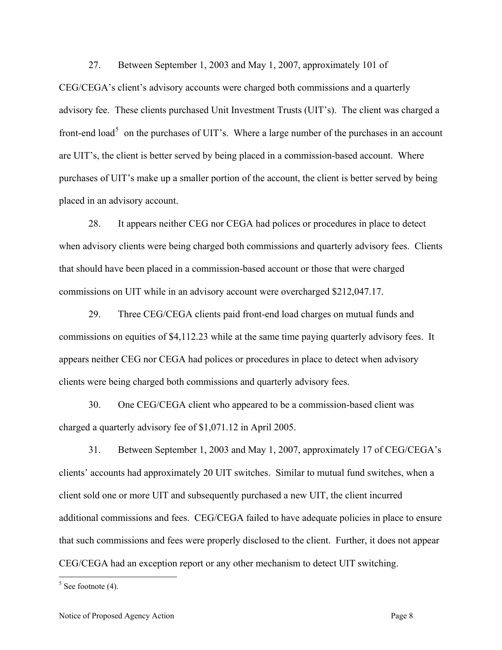27. Between September 1, 2003 and May 1, 2007, approximately 101 of CEG/CEGA's client's advisory accounts were charged both commissions and a quarterly advisory fee. These clients purchased Unit Investment Trusts (UIT's). The client was charged a front-end load<sup>[5](#page-7-0)</sup> on the purchases of UIT's. Where a large number of the purchases in an account are UIT's, the client is better served by being placed in a commission-based account. Where purchases of UIT's make up a smaller portion of the account, the client is better served by being placed in an advisory account.

28. It appears neither CEG nor CEGA had polices or procedures in place to detect when advisory clients were being charged both commissions and quarterly advisory fees. Clients that should have been placed in a commission-based account or those that were charged commissions on UIT while in an advisory account were overcharged \$212,047.17.

29. Three CEG/CEGA clients paid front-end load charges on mutual funds and commissions on equities of \$4,112.23 while at the same time paying quarterly advisory fees. It appears neither CEG nor CEGA had polices or procedures in place to detect when advisory clients were being charged both commissions and quarterly advisory fees.

30. One CEG/CEGA client who appeared to be a commission-based client was charged a quarterly advisory fee of \$1,071.12 in April 2005.

31. Between September 1, 2003 and May 1, 2007, approximately 17 of CEG/CEGA's clients' accounts had approximately 20 UIT switches. Similar to mutual fund switches, when a client sold one or more UIT and subsequently purchased a new UIT, the client incurred additional commissions and fees. CEG/CEGA failed to have adequate policies in place to ensure that such commissions and fees were properly disclosed to the client. Further, it does not appear CEG/CEGA had an exception report or any other mechanism to detect UIT switching.

<span id="page-7-0"></span> $5$  See footnote (4).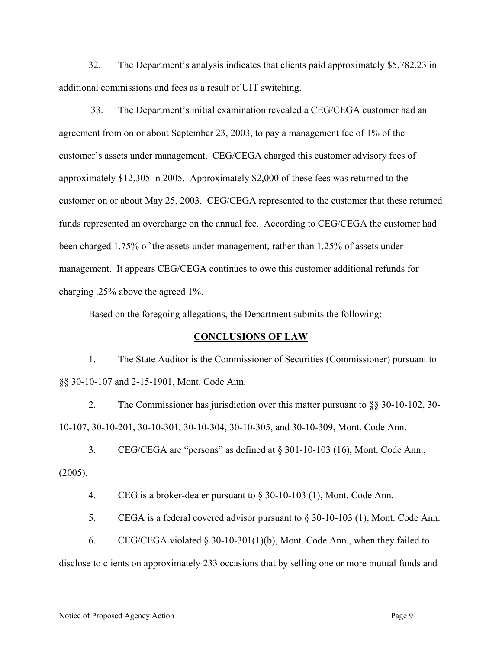32. The Department's analysis indicates that clients paid approximately \$5,782.23 in additional commissions and fees as a result of UIT switching.

 33. The Department's initial examination revealed a CEG/CEGA customer had an agreement from on or about September 23, 2003, to pay a management fee of 1% of the customer's assets under management. CEG/CEGA charged this customer advisory fees of approximately \$12,305 in 2005. Approximately \$2,000 of these fees was returned to the customer on or about May 25, 2003. CEG/CEGA represented to the customer that these returned funds represented an overcharge on the annual fee. According to CEG/CEGA the customer had been charged 1.75% of the assets under management, rather than 1.25% of assets under management. It appears CEG/CEGA continues to owe this customer additional refunds for charging .25% above the agreed 1%.

Based on the foregoing allegations, the Department submits the following:

#### **CONCLUSIONS OF LAW**

 1. The State Auditor is the Commissioner of Securities (Commissioner) pursuant to §§ 30-10-107 and 2-15-1901, Mont. Code Ann.

 2. The Commissioner has jurisdiction over this matter pursuant to §§ 30-10-102, 30- 10-107, 30-10-201, 30-10-301, 30-10-304, 30-10-305, and 30-10-309, Mont. Code Ann.

3. CEG/CEGA are "persons" as defined at § 301-10-103 (16), Mont. Code Ann., (2005).

4. CEG is a broker-dealer pursuant to § 30-10-103 (1), Mont. Code Ann.

5. CEGA is a federal covered advisor pursuant to § 30-10-103 (1), Mont. Code Ann.

6. CEG/CEGA violated § 30-10-301(1)(b), Mont. Code Ann., when they failed to

disclose to clients on approximately 233 occasions that by selling one or more mutual funds and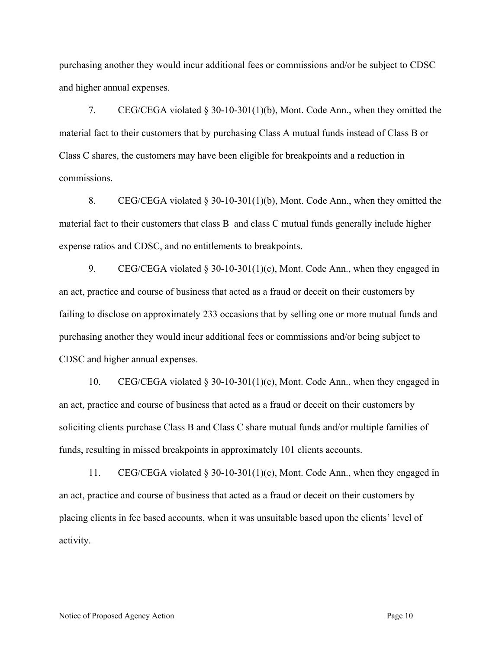purchasing another they would incur additional fees or commissions and/or be subject to CDSC and higher annual expenses.

7. CEG/CEGA violated § 30-10-301(1)(b), Mont. Code Ann., when they omitted the material fact to their customers that by purchasing Class A mutual funds instead of Class B or Class C shares, the customers may have been eligible for breakpoints and a reduction in commissions.

8. CEG/CEGA violated § 30-10-301(1)(b), Mont. Code Ann., when they omitted the material fact to their customers that class B and class C mutual funds generally include higher expense ratios and CDSC, and no entitlements to breakpoints.

9. CEG/CEGA violated § 30-10-301(1)(c), Mont. Code Ann., when they engaged in an act, practice and course of business that acted as a fraud or deceit on their customers by failing to disclose on approximately 233 occasions that by selling one or more mutual funds and purchasing another they would incur additional fees or commissions and/or being subject to CDSC and higher annual expenses.

10. CEG/CEGA violated § 30-10-301(1)(c), Mont. Code Ann., when they engaged in an act, practice and course of business that acted as a fraud or deceit on their customers by soliciting clients purchase Class B and Class C share mutual funds and/or multiple families of funds, resulting in missed breakpoints in approximately 101 clients accounts.

11. CEG/CEGA violated § 30-10-301(1)(c), Mont. Code Ann., when they engaged in an act, practice and course of business that acted as a fraud or deceit on their customers by placing clients in fee based accounts, when it was unsuitable based upon the clients' level of activity.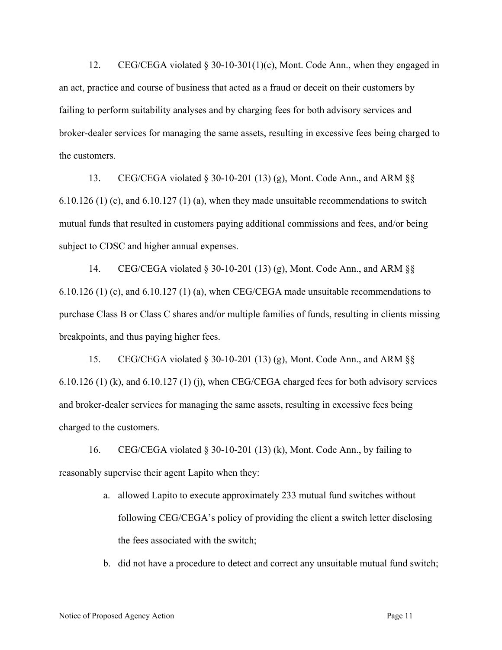12. CEG/CEGA violated § 30-10-301(1)(c), Mont. Code Ann., when they engaged in an act, practice and course of business that acted as a fraud or deceit on their customers by failing to perform suitability analyses and by charging fees for both advisory services and broker-dealer services for managing the same assets, resulting in excessive fees being charged to the customers.

13. CEG/CEGA violated § 30-10-201 (13) (g), Mont. Code Ann., and ARM §§ 6.10.126 (1) (c), and 6.10.127 (1) (a), when they made unsuitable recommendations to switch mutual funds that resulted in customers paying additional commissions and fees, and/or being subject to CDSC and higher annual expenses.

14. CEG/CEGA violated § 30-10-201 (13) (g), Mont. Code Ann., and ARM §§ 6.10.126 (1) (c), and 6.10.127 (1) (a), when CEG/CEGA made unsuitable recommendations to purchase Class B or Class C shares and/or multiple families of funds, resulting in clients missing breakpoints, and thus paying higher fees.

15. CEG/CEGA violated § 30-10-201 (13) (g), Mont. Code Ann., and ARM §§ 6.10.126 (1) (k), and 6.10.127 (1) (j), when CEG/CEGA charged fees for both advisory services and broker-dealer services for managing the same assets, resulting in excessive fees being charged to the customers.

16. CEG/CEGA violated § 30-10-201 (13) (k), Mont. Code Ann., by failing to reasonably supervise their agent Lapito when they:

> a. allowed Lapito to execute approximately 233 mutual fund switches without following CEG/CEGA's policy of providing the client a switch letter disclosing the fees associated with the switch;

b. did not have a procedure to detect and correct any unsuitable mutual fund switch;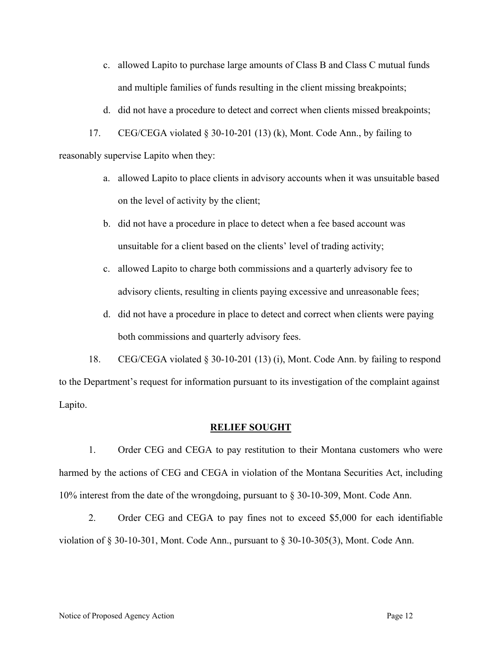- c. allowed Lapito to purchase large amounts of Class B and Class C mutual funds and multiple families of funds resulting in the client missing breakpoints;
- d. did not have a procedure to detect and correct when clients missed breakpoints;

17. CEG/CEGA violated § 30-10-201 (13) (k), Mont. Code Ann., by failing to reasonably supervise Lapito when they:

- a. allowed Lapito to place clients in advisory accounts when it was unsuitable based on the level of activity by the client;
- b. did not have a procedure in place to detect when a fee based account was unsuitable for a client based on the clients' level of trading activity;
- c. allowed Lapito to charge both commissions and a quarterly advisory fee to advisory clients, resulting in clients paying excessive and unreasonable fees;
- d. did not have a procedure in place to detect and correct when clients were paying both commissions and quarterly advisory fees.

 18. CEG/CEGA violated § 30-10-201 (13) (i), Mont. Code Ann. by failing to respond to the Department's request for information pursuant to its investigation of the complaint against Lapito.

### **RELIEF SOUGHT**

1. Order CEG and CEGA to pay restitution to their Montana customers who were harmed by the actions of CEG and CEGA in violation of the Montana Securities Act, including 10% interest from the date of the wrongdoing, pursuant to § 30-10-309, Mont. Code Ann.

2. Order CEG and CEGA to pay fines not to exceed \$5,000 for each identifiable violation of § 30-10-301, Mont. Code Ann., pursuant to § 30-10-305(3), Mont. Code Ann.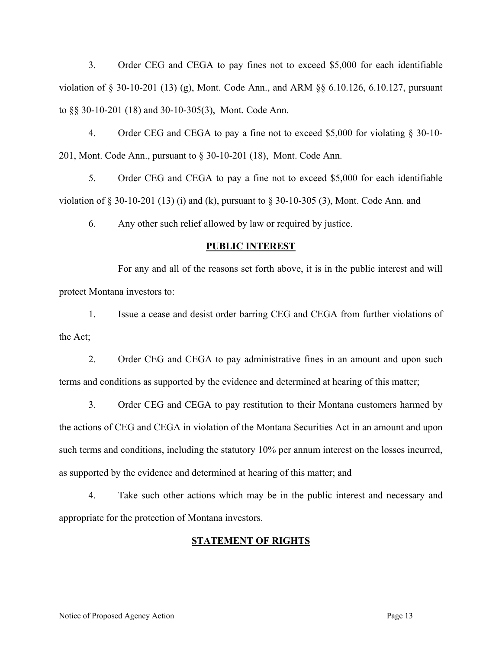3. Order CEG and CEGA to pay fines not to exceed \$5,000 for each identifiable violation of § 30-10-201 (13) (g), Mont. Code Ann., and ARM §§ 6.10.126, 6.10.127, pursuant to §§ 30-10-201 (18) and 30-10-305(3), Mont. Code Ann.

4. Order CEG and CEGA to pay a fine not to exceed \$5,000 for violating § 30-10- 201, Mont. Code Ann., pursuant to § 30-10-201 (18), Mont. Code Ann.

5. Order CEG and CEGA to pay a fine not to exceed \$5,000 for each identifiable violation of § 30-10-201 (13) (i) and (k), pursuant to § 30-10-305 (3), Mont. Code Ann. and

6. Any other such relief allowed by law or required by justice.

# **PUBLIC INTEREST**

 For any and all of the reasons set forth above, it is in the public interest and will protect Montana investors to:

1. Issue a cease and desist order barring CEG and CEGA from further violations of the Act;

2. Order CEG and CEGA to pay administrative fines in an amount and upon such terms and conditions as supported by the evidence and determined at hearing of this matter;

3. Order CEG and CEGA to pay restitution to their Montana customers harmed by the actions of CEG and CEGA in violation of the Montana Securities Act in an amount and upon such terms and conditions, including the statutory 10% per annum interest on the losses incurred, as supported by the evidence and determined at hearing of this matter; and

4. Take such other actions which may be in the public interest and necessary and appropriate for the protection of Montana investors.

# **STATEMENT OF RIGHTS**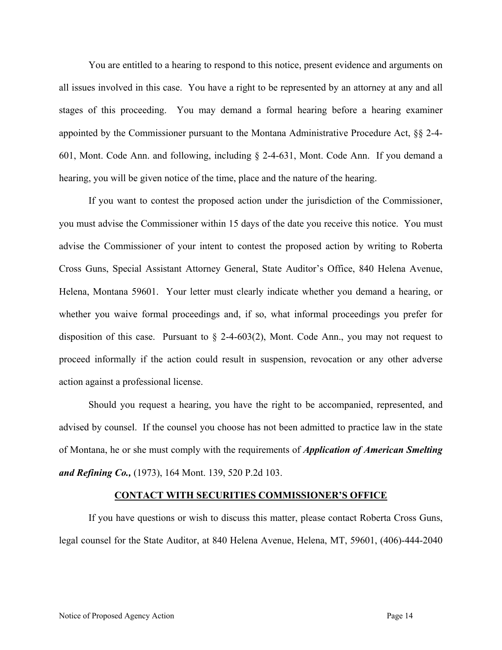You are entitled to a hearing to respond to this notice, present evidence and arguments on all issues involved in this case. You have a right to be represented by an attorney at any and all stages of this proceeding. You may demand a formal hearing before a hearing examiner appointed by the Commissioner pursuant to the Montana Administrative Procedure Act, §§ 2-4- 601, Mont. Code Ann. and following, including § 2-4-631, Mont. Code Ann. If you demand a hearing, you will be given notice of the time, place and the nature of the hearing.

If you want to contest the proposed action under the jurisdiction of the Commissioner, you must advise the Commissioner within 15 days of the date you receive this notice. You must advise the Commissioner of your intent to contest the proposed action by writing to Roberta Cross Guns, Special Assistant Attorney General, State Auditor's Office, 840 Helena Avenue, Helena, Montana 59601. Your letter must clearly indicate whether you demand a hearing, or whether you waive formal proceedings and, if so, what informal proceedings you prefer for disposition of this case. Pursuant to § 2-4-603(2), Mont. Code Ann., you may not request to proceed informally if the action could result in suspension, revocation or any other adverse action against a professional license.

Should you request a hearing, you have the right to be accompanied, represented, and advised by counsel. If the counsel you choose has not been admitted to practice law in the state of Montana, he or she must comply with the requirements of *Application of American Smelting and Refining Co.,* (1973), 164 Mont. 139, 520 P.2d 103.

### **CONTACT WITH SECURITIES COMMISSIONER'S OFFICE**

If you have questions or wish to discuss this matter, please contact Roberta Cross Guns, legal counsel for the State Auditor, at 840 Helena Avenue, Helena, MT, 59601, (406)-444-2040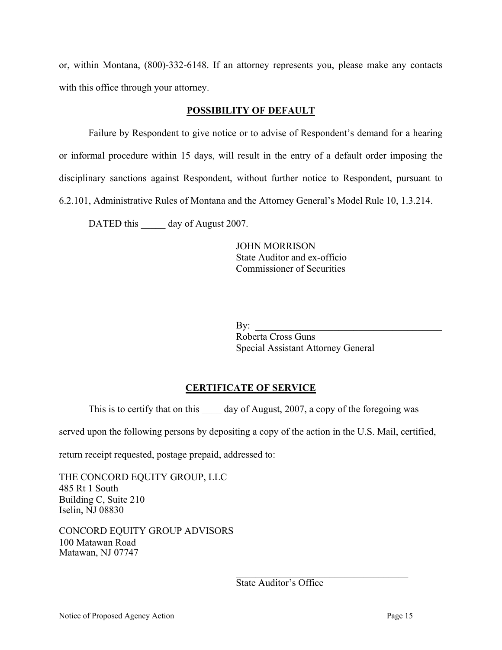or, within Montana, (800)-332-6148. If an attorney represents you, please make any contacts with this office through your attorney.

## **POSSIBILITY OF DEFAULT**

Failure by Respondent to give notice or to advise of Respondent's demand for a hearing or informal procedure within 15 days, will result in the entry of a default order imposing the disciplinary sanctions against Respondent, without further notice to Respondent, pursuant to 6.2.101, Administrative Rules of Montana and the Attorney General's Model Rule 10, 1.3.214.

DATED this day of August 2007.

JOHN MORRISON State Auditor and ex-officio Commissioner of Securities

By:  $\Box$ 

Roberta Cross Guns Special Assistant Attorney General

# **CERTIFICATE OF SERVICE**

This is to certify that on this \_\_\_\_\_ day of August, 2007, a copy of the foregoing was

served upon the following persons by depositing a copy of the action in the U.S. Mail, certified,

 $\mathcal{L}_\text{max}$  and  $\mathcal{L}_\text{max}$  and  $\mathcal{L}_\text{max}$  and  $\mathcal{L}_\text{max}$  and  $\mathcal{L}_\text{max}$  and  $\mathcal{L}_\text{max}$ 

return receipt requested, postage prepaid, addressed to:

THE CONCORD EQUITY GROUP, LLC 485 Rt 1 South Building C, Suite 210 Iselin, NJ 08830

CONCORD EQUITY GROUP ADVISORS 100 Matawan Road Matawan, NJ 07747

State Auditor's Office